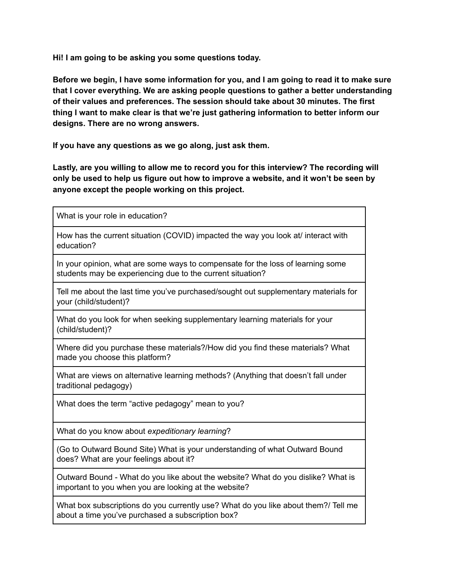**Hi! I am going to be asking you some questions today.**

**Before we begin, I have some information for you, and I am going to read it to make sure that I cover everything. We are asking people questions to gather a better understanding of their values and preferences. The session should take about 30 minutes. The first thing I want to make clear is that we're just gathering information to better inform our designs. There are no wrong answers.**

**If you have any questions as we go along, just ask them.**

**Lastly, are you willing to allow me to record you for this interview? The recording will only be used to help us figure out how to improve a website, and it won't be seen by anyone except the people working on this project.**

What is your role in education? How has the current situation (COVID) impacted the way you look at interact with education? In your opinion, what are some ways to compensate for the loss of learning some students may be experiencing due to the current situation? Tell me about the last time you've purchased/sought out supplementary materials for your (child/student)? What do you look for when seeking supplementary learning materials for your (child/student)? Where did you purchase these materials?/How did you find these materials? What made you choose this platform? What are views on alternative learning methods? (Anything that doesn't fall under traditional pedagogy) What does the term "active pedagogy" mean to you? What do you know about *expeditionary learning*?

(Go to Outward Bound Site) What is your understanding of what Outward Bound does? What are your feelings about it?

Outward Bound - What do you like about the website? What do you dislike? What is important to you when you are looking at the website?

What box subscriptions do you currently use? What do you like about them?/ Tell me about a time you've purchased a subscription box?